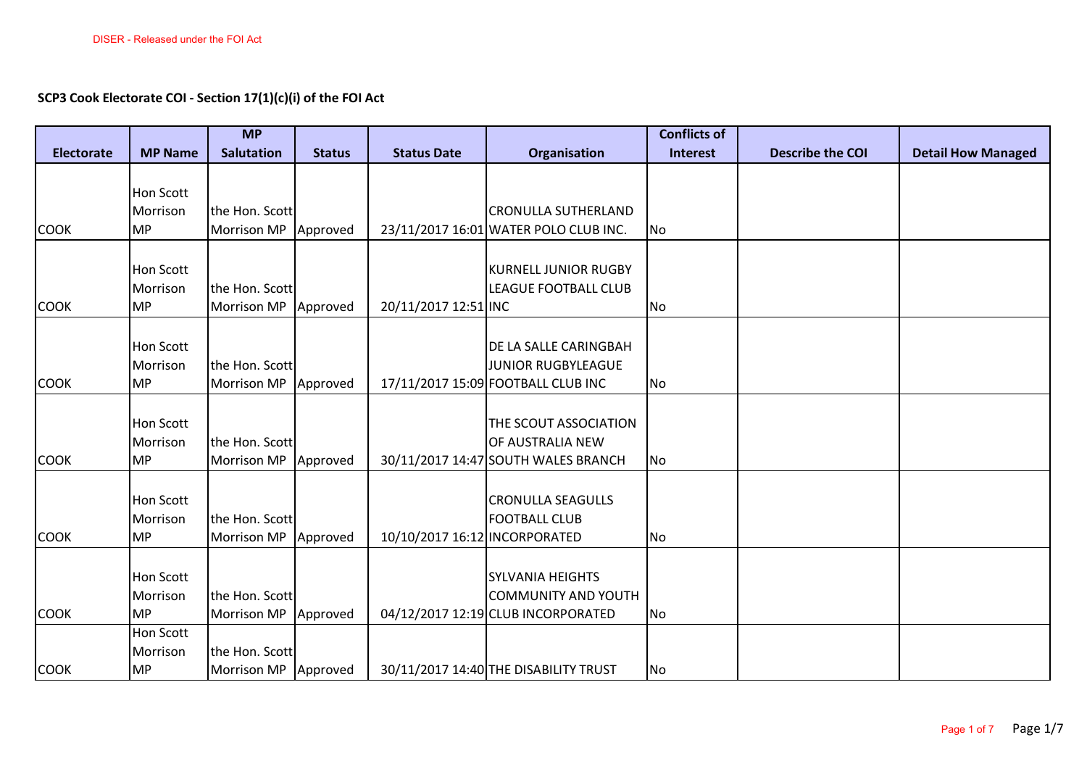**SCP3 Cook Electorate COI - Section 17(1)(c)(i) of the FOI Act**

|                   |                       | <b>MP</b>                     |               |                               |                                       | <b>Conflicts of</b> |                         |                           |
|-------------------|-----------------------|-------------------------------|---------------|-------------------------------|---------------------------------------|---------------------|-------------------------|---------------------------|
| <b>Electorate</b> | <b>MP Name</b>        | <b>Salutation</b>             | <b>Status</b> | <b>Status Date</b>            | Organisation                          | <b>Interest</b>     | <b>Describe the COI</b> | <b>Detail How Managed</b> |
|                   |                       |                               |               |                               |                                       |                     |                         |                           |
|                   | Hon Scott             |                               |               |                               |                                       |                     |                         |                           |
|                   | Morrison              | the Hon. Scott                |               |                               | <b>CRONULLA SUTHERLAND</b>            |                     |                         |                           |
| <b>COOK</b>       | <b>MP</b>             | Morrison MP                   | Approved      |                               | 23/11/2017 16:01 WATER POLO CLUB INC. | No                  |                         |                           |
|                   |                       |                               |               |                               |                                       |                     |                         |                           |
|                   | <b>Hon Scott</b>      |                               |               |                               | <b>KURNELL JUNIOR RUGBY</b>           |                     |                         |                           |
|                   | Morrison              | the Hon. Scott                |               |                               | <b>LEAGUE FOOTBALL CLUB</b>           |                     |                         |                           |
| <b>COOK</b>       | <b>MP</b>             | <b>Morrison MP</b>            | Approved      | 20/11/2017 12:51 INC          |                                       | N <sub>o</sub>      |                         |                           |
|                   |                       |                               |               |                               |                                       |                     |                         |                           |
|                   | <b>Hon Scott</b>      |                               |               |                               | DE LA SALLE CARINGBAH                 |                     |                         |                           |
|                   | Morrison              | the Hon. Scott                |               |                               | JUNIOR RUGBYLEAGUE                    |                     |                         |                           |
| <b>COOK</b>       | <b>MP</b>             | <b>Morrison MP</b>            | Approved      |                               | 17/11/2017 15:09 FOOTBALL CLUB INC    | No                  |                         |                           |
|                   | Hon Scott             |                               |               |                               | THE SCOUT ASSOCIATION                 |                     |                         |                           |
|                   |                       |                               |               |                               | OF AUSTRALIA NEW                      |                     |                         |                           |
| <b>COOK</b>       | Morrison<br><b>MP</b> | the Hon. Scott<br>Morrison MP |               |                               | 30/11/2017 14:47 SOUTH WALES BRANCH   |                     |                         |                           |
|                   |                       |                               | Approved      |                               |                                       | No                  |                         |                           |
|                   | Hon Scott             |                               |               |                               | <b>CRONULLA SEAGULLS</b>              |                     |                         |                           |
|                   | Morrison              | the Hon. Scott                |               |                               | <b>FOOTBALL CLUB</b>                  |                     |                         |                           |
| <b>COOK</b>       | <b>MP</b>             | <b>Morrison MP</b>            | Approved      | 10/10/2017 16:12 INCORPORATED |                                       | No                  |                         |                           |
|                   |                       |                               |               |                               |                                       |                     |                         |                           |
|                   | <b>Hon Scott</b>      |                               |               |                               | <b>SYLVANIA HEIGHTS</b>               |                     |                         |                           |
|                   | Morrison              | the Hon. Scott                |               |                               | <b>COMMUNITY AND YOUTH</b>            |                     |                         |                           |
| <b>COOK</b>       | <b>MP</b>             | <b>Morrison MP</b>            | Approved      |                               | 04/12/2017 12:19 CLUB INCORPORATED    | No                  |                         |                           |
|                   | Hon Scott             |                               |               |                               |                                       |                     |                         |                           |
|                   | Morrison              | the Hon. Scott                |               |                               |                                       |                     |                         |                           |
| <b>COOK</b>       | MP                    | Morrison MP Approved          |               |                               | 30/11/2017 14:40 THE DISABILITY TRUST | No                  |                         |                           |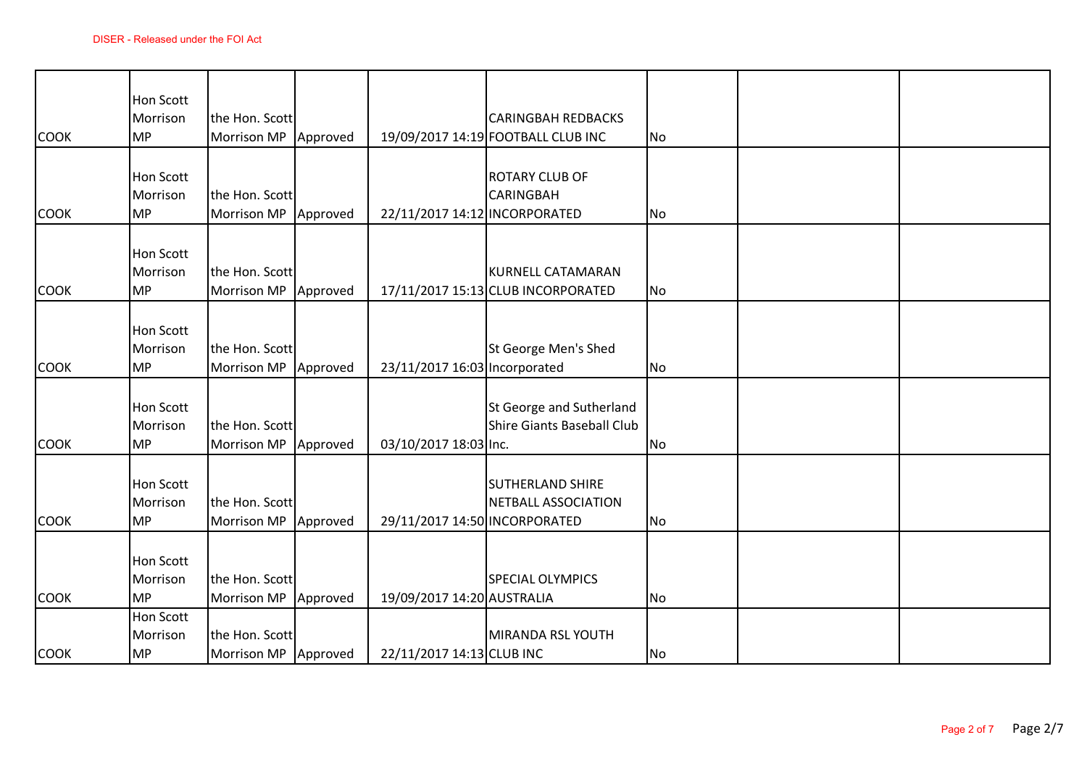| <b>COOK</b> | <b>Hon Scott</b><br>Morrison<br><b>MP</b> | the Hon. Scott<br><b>Morrison MP</b>   | Approved |                               | <b>CARINGBAH REDBACKS</b><br>19/09/2017 14:19 FOOTBALL CLUB INC | No        |  |
|-------------|-------------------------------------------|----------------------------------------|----------|-------------------------------|-----------------------------------------------------------------|-----------|--|
| <b>COOK</b> | Hon Scott<br>Morrison<br><b>MP</b>        | the Hon. Scott<br><b>Morrison MP</b>   | Approved | 22/11/2017 14:12 INCORPORATED | <b>ROTARY CLUB OF</b><br><b>CARINGBAH</b>                       | No        |  |
| <b>COOK</b> | Hon Scott<br>Morrison<br><b>MP</b>        | the Hon. Scott<br>Morrison MP          | Approved |                               | <b>KURNELL CATAMARAN</b><br>17/11/2017 15:13 CLUB INCORPORATED  | No        |  |
| <b>COOK</b> | Hon Scott<br>Morrison<br><b>MP</b>        | the Hon. Scott<br>Morrison MP          | Approved | 23/11/2017 16:03 Incorporated | St George Men's Shed                                            | <b>No</b> |  |
| <b>COOK</b> | <b>Hon Scott</b><br>Morrison<br><b>MP</b> | the Hon. Scott<br><b>Morrison MP</b>   | Approved | 03/10/2017 18:03 Inc.         | St George and Sutherland<br><b>Shire Giants Baseball Club</b>   | No        |  |
| <b>COOK</b> | Hon Scott<br>Morrison<br><b>MP</b>        | the Hon. Scott<br><b>Morrison MP</b>   | Approved | 29/11/2017 14:50 INCORPORATED | <b>SUTHERLAND SHIRE</b><br>NETBALL ASSOCIATION                  | No        |  |
| <b>COOK</b> | Hon Scott<br>Morrison<br><b>MP</b>        | the Hon. Scott<br>Morrison MP Approved |          | 19/09/2017 14:20 AUSTRALIA    | <b>SPECIAL OLYMPICS</b>                                         | No        |  |
| <b>COOK</b> | <b>Hon Scott</b><br>Morrison<br><b>MP</b> | the Hon. Scott<br>Morrison MP Approved |          | 22/11/2017 14:13 CLUB INC     | MIRANDA RSL YOUTH                                               | No        |  |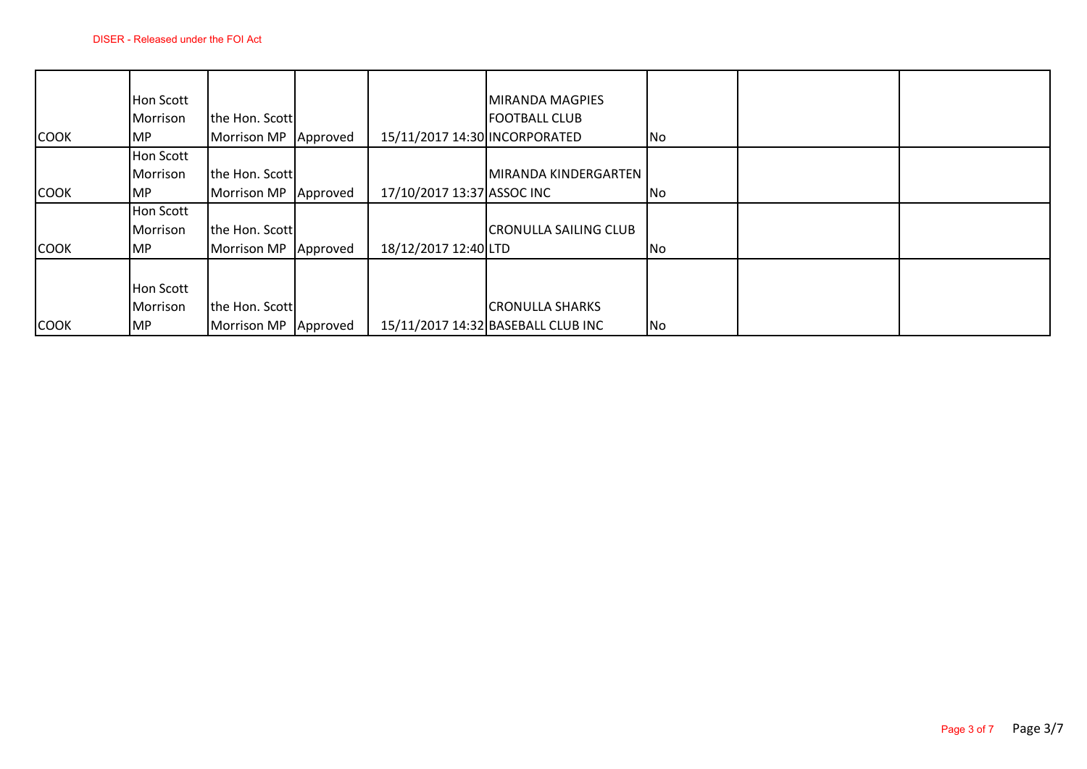|             | Hon Scott |                    |          |                               | MIRANDA MAGPIES                    |    |  |
|-------------|-----------|--------------------|----------|-------------------------------|------------------------------------|----|--|
|             | Morrison  | the Hon. Scott     |          |                               | <b>FOOTBALL CLUB</b>               |    |  |
| <b>COOK</b> | IMP.      | <b>Morrison MP</b> | Approved | 15/11/2017 14:30 INCORPORATED |                                    | No |  |
|             | Hon Scott |                    |          |                               |                                    |    |  |
|             | Morrison  | the Hon. Scott     |          |                               | MIRANDA KINDERGARTEN               |    |  |
| <b>COOK</b> | MP        | <b>Morrison MP</b> | Approved | 17/10/2017 13:37 ASSOC INC    |                                    | No |  |
|             | Hon Scott |                    |          |                               |                                    |    |  |
|             | Morrison  | the Hon. Scott     |          |                               | <b>CRONULLA SAILING CLUB</b>       |    |  |
| <b>COOK</b> | <b>MP</b> | <b>Morrison MP</b> | Approved | 18/12/2017 12:40 LTD          |                                    | No |  |
|             |           |                    |          |                               |                                    |    |  |
|             | Hon Scott |                    |          |                               |                                    |    |  |
|             | Morrison  | the Hon. Scott     |          |                               | <b>CRONULLA SHARKS</b>             |    |  |
| <b>COOK</b> | MP        | <b>Morrison MP</b> | Approved |                               | 15/11/2017 14:32 BASEBALL CLUB INC | No |  |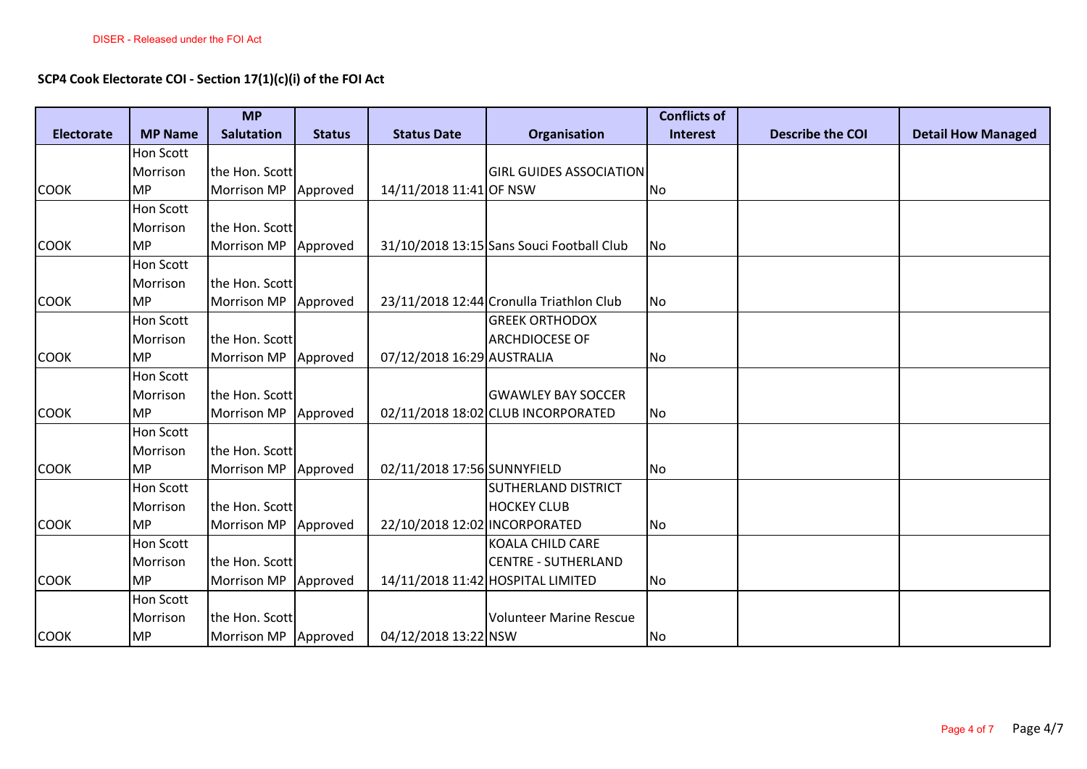## **SCP4 Cook Electorate COI - Section 17(1)(c)(i) of the FOI Act**

|                   |                  | <b>MP</b>              |               |                               |                                           | <b>Conflicts of</b> |                         |                           |
|-------------------|------------------|------------------------|---------------|-------------------------------|-------------------------------------------|---------------------|-------------------------|---------------------------|
| <b>Electorate</b> | <b>MP Name</b>   | <b>Salutation</b>      | <b>Status</b> | <b>Status Date</b>            | Organisation                              | <b>Interest</b>     | <b>Describe the COI</b> | <b>Detail How Managed</b> |
|                   | Hon Scott        |                        |               |                               |                                           |                     |                         |                           |
|                   | Morrison         | the Hon. Scott         |               |                               | <b>GIRL GUIDES ASSOCIATION</b>            |                     |                         |                           |
| <b>COOK</b>       | <b>MP</b>        | Morrison MP Approved   |               | 14/11/2018 11:41 OF NSW       |                                           | No                  |                         |                           |
|                   | Hon Scott        |                        |               |                               |                                           |                     |                         |                           |
|                   | Morrison         | the Hon. Scott         |               |                               |                                           |                     |                         |                           |
| <b>COOK</b>       | <b>MP</b>        | Morrison MP Approved   |               |                               | 31/10/2018 13:15 Sans Souci Football Club | N <sub>o</sub>      |                         |                           |
|                   | Hon Scott        |                        |               |                               |                                           |                     |                         |                           |
|                   | Morrison         | the Hon. Scott         |               |                               |                                           |                     |                         |                           |
| <b>COOK</b>       | <b>MP</b>        | Morrison MP   Approved |               |                               | 23/11/2018 12:44 Cronulla Triathlon Club  | No                  |                         |                           |
|                   | <b>Hon Scott</b> |                        |               |                               | <b>GREEK ORTHODOX</b>                     |                     |                         |                           |
|                   | Morrison         | the Hon. Scott         |               |                               | <b>ARCHDIOCESE OF</b>                     |                     |                         |                           |
| <b>COOK</b>       | <b>MP</b>        | Morrison MP Approved   |               | 07/12/2018 16:29 AUSTRALIA    |                                           | No                  |                         |                           |
|                   | Hon Scott        |                        |               |                               |                                           |                     |                         |                           |
|                   | Morrison         | the Hon. Scott         |               |                               | <b>GWAWLEY BAY SOCCER</b>                 |                     |                         |                           |
| <b>COOK</b>       | <b>MP</b>        | Morrison MP Approved   |               |                               | 02/11/2018 18:02 CLUB INCORPORATED        | No                  |                         |                           |
|                   | <b>Hon Scott</b> |                        |               |                               |                                           |                     |                         |                           |
|                   | Morrison         | the Hon. Scott         |               |                               |                                           |                     |                         |                           |
| <b>COOK</b>       | <b>MP</b>        | Morrison MP Approved   |               | 02/11/2018 17:56 SUNNYFIELD   |                                           | No                  |                         |                           |
|                   | <b>Hon Scott</b> |                        |               |                               | SUTHERLAND DISTRICT                       |                     |                         |                           |
|                   | Morrison         | the Hon. Scott         |               |                               | <b>HOCKEY CLUB</b>                        |                     |                         |                           |
| <b>COOK</b>       | <b>MP</b>        | Morrison MP Approved   |               | 22/10/2018 12:02 INCORPORATED |                                           | No                  |                         |                           |
|                   | Hon Scott        |                        |               |                               | <b>KOALA CHILD CARE</b>                   |                     |                         |                           |
|                   | Morrison         | the Hon. Scott         |               |                               | <b>CENTRE - SUTHERLAND</b>                |                     |                         |                           |
| <b>COOK</b>       | <b>MP</b>        | Morrison MP Approved   |               |                               | 14/11/2018 11:42 HOSPITAL LIMITED         | No                  |                         |                           |
|                   | <b>Hon Scott</b> |                        |               |                               |                                           |                     |                         |                           |
|                   | Morrison         | the Hon. Scott         |               |                               | <b>Volunteer Marine Rescue</b>            |                     |                         |                           |
| <b>COOK</b>       | <b>MP</b>        | Morrison MP Approved   |               | 04/12/2018 13:22 NSW          |                                           | No                  |                         |                           |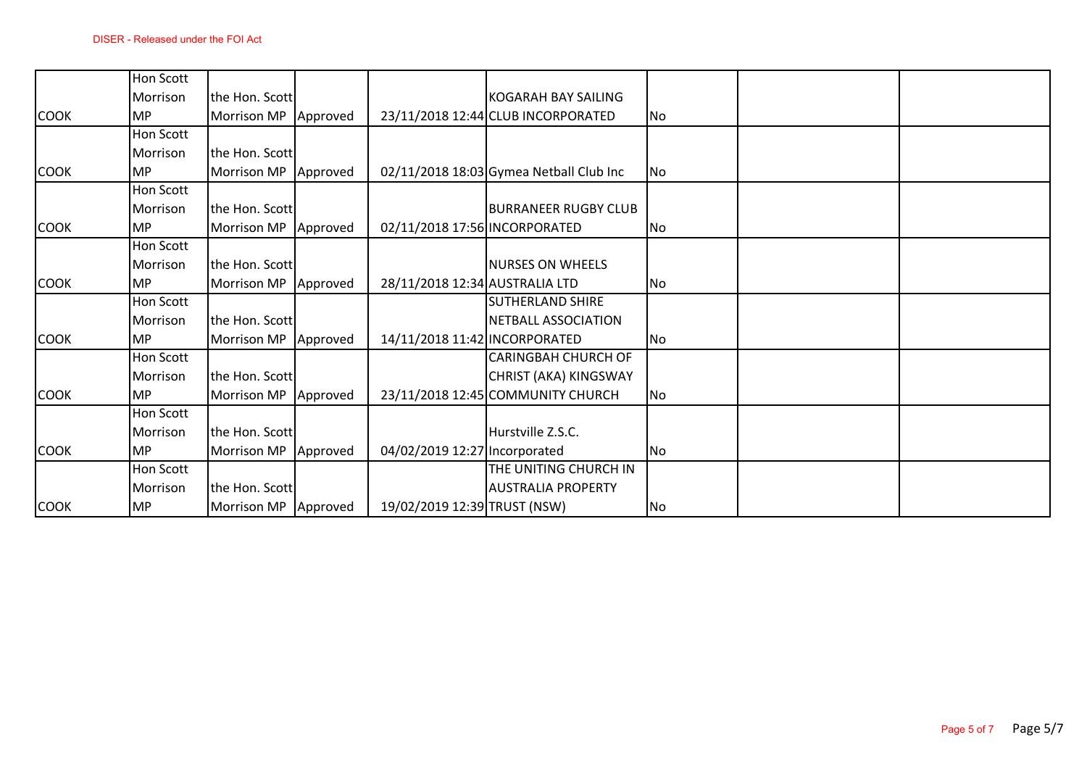|             | Hon Scott        |                      |          |                                |                                         |           |  |
|-------------|------------------|----------------------|----------|--------------------------------|-----------------------------------------|-----------|--|
|             | Morrison         | the Hon. Scott       |          |                                | KOGARAH BAY SAILING                     |           |  |
| <b>COOK</b> | <b>MP</b>        | <b>Morrison MP</b>   | Approved |                                | 23/11/2018 12:44 CLUB INCORPORATED      | No        |  |
|             | Hon Scott        |                      |          |                                |                                         |           |  |
|             | Morrison         | the Hon. Scott       |          |                                |                                         |           |  |
| <b>COOK</b> | <b>MP</b>        | <b>Morrison MP</b>   | Approved |                                | 02/11/2018 18:03 Gymea Netball Club Inc | <b>No</b> |  |
|             | <b>Hon Scott</b> |                      |          |                                |                                         |           |  |
|             | Morrison         | the Hon. Scott       |          |                                | <b>BURRANEER RUGBY CLUB</b>             |           |  |
| <b>COOK</b> | <b>MP</b>        | Morrison MP          | Approved | 02/11/2018 17:56 INCORPORATED  |                                         | No        |  |
|             | Hon Scott        |                      |          |                                |                                         |           |  |
|             | Morrison         | the Hon. Scott       |          |                                | <b>NURSES ON WHEELS</b>                 |           |  |
| <b>COOK</b> | <b>MP</b>        | <b>Morrison MP</b>   | Approved | 28/11/2018 12:34 AUSTRALIA LTD |                                         | No        |  |
|             | Hon Scott        |                      |          |                                | <b>SUTHERLAND SHIRE</b>                 |           |  |
|             | Morrison         | the Hon. Scott       |          |                                | NETBALL ASSOCIATION                     |           |  |
| <b>COOK</b> | <b>MP</b>        | <b>Morrison MP</b>   | Approved | 14/11/2018 11:42 INCORPORATED  |                                         | No        |  |
|             | <b>Hon Scott</b> |                      |          |                                | <b>CARINGBAH CHURCH OF</b>              |           |  |
|             | Morrison         | the Hon. Scott       |          |                                | CHRIST (AKA) KINGSWAY                   |           |  |
| <b>COOK</b> | <b>MP</b>        | <b>Morrison MP</b>   | Approved |                                | 23/11/2018 12:45 COMMUNITY CHURCH       | No        |  |
|             | Hon Scott        |                      |          |                                |                                         |           |  |
|             | Morrison         | the Hon. Scott       |          |                                | Hurstville Z.S.C.                       |           |  |
| <b>COOK</b> | <b>MP</b>        | Morrison MP          | Approved | 04/02/2019 12:27 Incorporated  |                                         | No        |  |
|             | Hon Scott        |                      |          |                                | THE UNITING CHURCH IN                   |           |  |
|             | Morrison         | the Hon. Scott       |          |                                | <b>AUSTRALIA PROPERTY</b>               |           |  |
| <b>COOK</b> | <b>MP</b>        | Morrison MP Approved |          | 19/02/2019 12:39 TRUST (NSW)   |                                         | No        |  |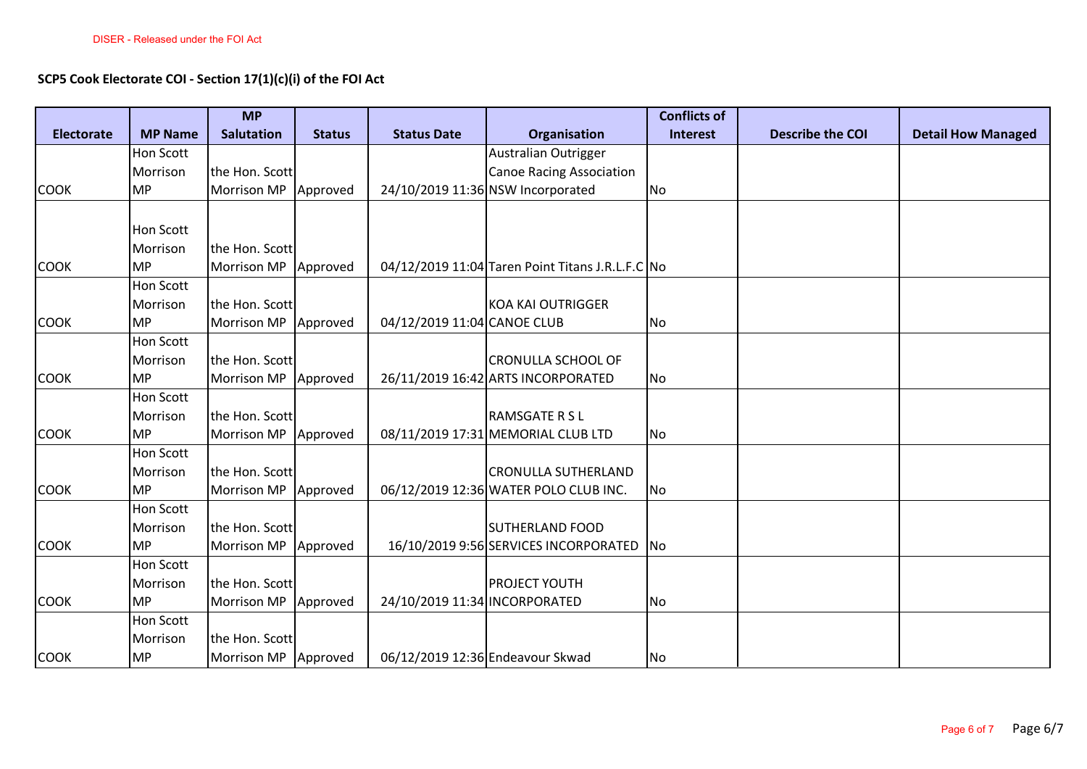## **SCP5 Cook Electorate COI - Section 17(1)(c)(i) of the FOI Act**

|                   |                  | <b>MP</b>              |               |                                  |                                                  | <b>Conflicts of</b>      |                         |                           |
|-------------------|------------------|------------------------|---------------|----------------------------------|--------------------------------------------------|--------------------------|-------------------------|---------------------------|
| <b>Electorate</b> | <b>MP Name</b>   | <b>Salutation</b>      | <b>Status</b> | <b>Status Date</b>               | Organisation                                     | <b>Interest</b>          | <b>Describe the COI</b> | <b>Detail How Managed</b> |
|                   | Hon Scott        |                        |               |                                  | Australian Outrigger                             |                          |                         |                           |
|                   | Morrison         | the Hon. Scott         |               |                                  | <b>Canoe Racing Association</b>                  |                          |                         |                           |
| <b>COOK</b>       | <b>MP</b>        | Morrison MP Approved   |               |                                  | 24/10/2019 11:36 NSW Incorporated                | No                       |                         |                           |
|                   |                  |                        |               |                                  |                                                  |                          |                         |                           |
|                   | Hon Scott        |                        |               |                                  |                                                  |                          |                         |                           |
|                   | Morrison         | the Hon. Scott         |               |                                  |                                                  |                          |                         |                           |
| <b>COOK</b>       | <b>MP</b>        | Morrison MP   Approved |               |                                  | 04/12/2019 11:04 Taren Point Titans J.R.L.F.C No |                          |                         |                           |
|                   | <b>Hon Scott</b> |                        |               |                                  |                                                  |                          |                         |                           |
|                   | Morrison         | the Hon. Scott         |               |                                  | KOA KAI OUTRIGGER                                |                          |                         |                           |
| <b>COOK</b>       | <b>MP</b>        | Morrison MP Approved   |               | 04/12/2019 11:04 CANOE CLUB      |                                                  | No                       |                         |                           |
|                   | Hon Scott        |                        |               |                                  |                                                  |                          |                         |                           |
|                   | Morrison         | the Hon. Scott         |               |                                  | <b>CRONULLA SCHOOL OF</b>                        |                          |                         |                           |
| <b>COOK</b>       | <b>MP</b>        | <b>Morrison MP</b>     | Approved      |                                  | 26/11/2019 16:42 ARTS INCORPORATED               | No                       |                         |                           |
|                   | <b>Hon Scott</b> |                        |               |                                  |                                                  |                          |                         |                           |
|                   | Morrison         | the Hon. Scott         |               |                                  | <b>RAMSGATE R S L</b>                            |                          |                         |                           |
| <b>COOK</b>       | <b>MP</b>        | <b>Morrison MP</b>     | Approved      |                                  | 08/11/2019 17:31 MEMORIAL CLUB LTD               | No                       |                         |                           |
|                   | <b>Hon Scott</b> |                        |               |                                  |                                                  |                          |                         |                           |
|                   | Morrison         | the Hon. Scott         |               |                                  | <b>CRONULLA SUTHERLAND</b>                       |                          |                         |                           |
| <b>COOK</b>       | <b>MP</b>        | Morrison MP   Approved |               |                                  | 06/12/2019 12:36 WATER POLO CLUB INC.            | No                       |                         |                           |
|                   | <b>Hon Scott</b> |                        |               |                                  |                                                  |                          |                         |                           |
|                   | Morrison         | the Hon. Scott         |               |                                  | <b>SUTHERLAND FOOD</b>                           |                          |                         |                           |
| <b>COOK</b>       | <b>MP</b>        | Morrison MP Approved   |               |                                  | 16/10/2019 9:56 SERVICES INCORPORATED            | $\overline{\mathsf{No}}$ |                         |                           |
|                   | <b>Hon Scott</b> |                        |               |                                  |                                                  |                          |                         |                           |
|                   | Morrison         | the Hon. Scott         |               |                                  | <b>PROJECT YOUTH</b>                             |                          |                         |                           |
| <b>COOK</b>       | <b>MP</b>        | Morrison MP Approved   |               | 24/10/2019 11:34 INCORPORATED    |                                                  | No.                      |                         |                           |
|                   | <b>Hon Scott</b> |                        |               |                                  |                                                  |                          |                         |                           |
|                   | Morrison         | the Hon. Scott         |               |                                  |                                                  |                          |                         |                           |
| <b>COOK</b>       | <b>MP</b>        | Morrison MP Approved   |               | 06/12/2019 12:36 Endeavour Skwad |                                                  | No                       |                         |                           |